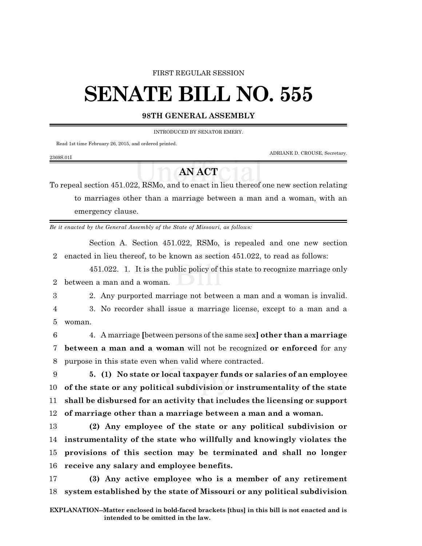#### FIRST REGULAR SESSION

## **SENATE BILL NO. 555**

#### **98TH GENERAL ASSEMBLY**

INTRODUCED BY SENATOR EMERY.

Read 1st time February 26, 2015, and ordered printed.

ADRIANE D. CROUSE, Secretary.

### **AN ACT**

To repeal section 451.022, RSMo, and to enact in lieu thereof one new section relating to marriages other than a marriage between a man and a woman, with an emergency clause.

*Be it enacted by the General Assembly of the State of Missouri, as follows:*

Section A. Section 451.022, RSMo, is repealed and one new section 2 enacted in lieu thereof, to be known as section 451.022, to read as follows:

451.022. 1. It is the public policy of this state to recognize marriage only 2 between a man and a woman.

2369S.01I

3 2. Any purported marriage not between a man and a woman is invalid.

4 3. No recorder shall issue a marriage license, except to a man and a 5 woman.

6 4. A marriage **[**between persons of the same sex**] other than a marriage** 7 **between a man and a woman** will not be recognized **or enforced** for any 8 purpose in this state even when valid where contracted.

 **5. (1) No state or local taxpayer funds or salaries of an employee of the state or any political subdivision or instrumentality of the state shall be disbursed for an activity that includes the licensing or support of marriage other than a marriage between a man and a woman.**

 **(2) Any employee of the state or any political subdivision or instrumentality of the state who willfully and knowingly violates the provisions of this section may be terminated and shall no longer receive any salary and employee benefits.**

17 **(3) Any active employee who is a member of any retirement** 18 **system established by the state of Missouri or any political subdivision**